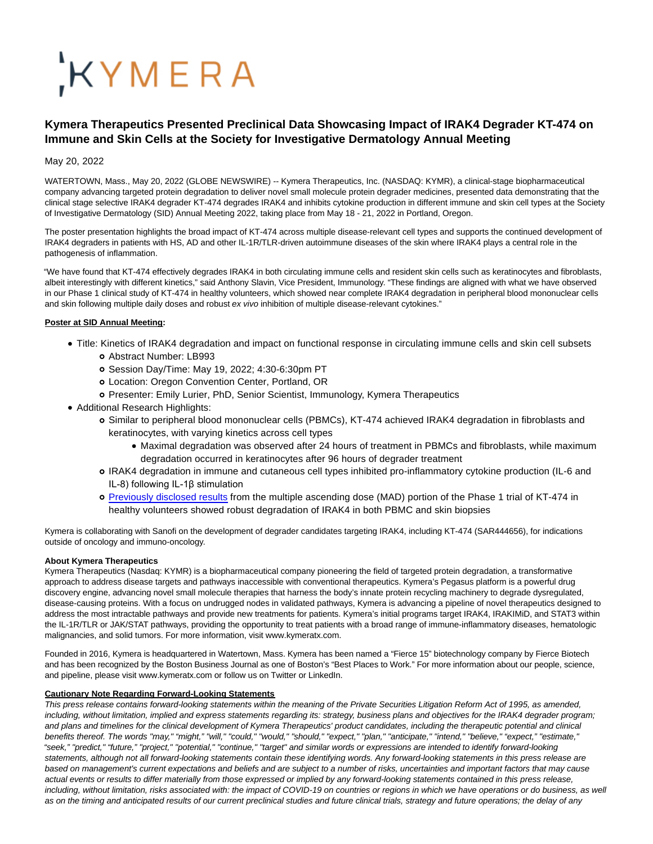# KYMERA

## **Kymera Therapeutics Presented Preclinical Data Showcasing Impact of IRAK4 Degrader KT-474 on Immune and Skin Cells at the Society for Investigative Dermatology Annual Meeting**

### May 20, 2022

WATERTOWN, Mass., May 20, 2022 (GLOBE NEWSWIRE) -- Kymera Therapeutics, Inc. (NASDAQ: KYMR), a clinical-stage biopharmaceutical company advancing targeted protein degradation to deliver novel small molecule protein degrader medicines, presented data demonstrating that the clinical stage selective IRAK4 degrader KT-474 degrades IRAK4 and inhibits cytokine production in different immune and skin cell types at the Society of Investigative Dermatology (SID) Annual Meeting 2022, taking place from May 18 - 21, 2022 in Portland, Oregon.

The poster presentation highlights the broad impact of KT-474 across multiple disease-relevant cell types and supports the continued development of IRAK4 degraders in patients with HS, AD and other IL-1R/TLR-driven autoimmune diseases of the skin where IRAK4 plays a central role in the pathogenesis of inflammation.

"We have found that KT-474 effectively degrades IRAK4 in both circulating immune cells and resident skin cells such as keratinocytes and fibroblasts, albeit interestingly with different kinetics," said Anthony Slavin, Vice President, Immunology. "These findings are aligned with what we have observed in our Phase 1 clinical study of KT-474 in healthy volunteers, which showed near complete IRAK4 degradation in peripheral blood mononuclear cells and skin following multiple daily doses and robust ex vivo inhibition of multiple disease-relevant cytokines."

#### **Poster at SID Annual Meeting:**

- Title: Kinetics of IRAK4 degradation and impact on functional response in circulating immune cells and skin cell subsets
	- Abstract Number: LB993
	- Session Day/Time: May 19, 2022; 4:30-6:30pm PT
	- Location: Oregon Convention Center, Portland, OR
	- Presenter: Emily Lurier, PhD, Senior Scientist, Immunology, Kymera Therapeutics
- Additional Research Highlights:
	- Similar to peripheral blood mononuclear cells (PBMCs), KT-474 achieved IRAK4 degradation in fibroblasts and keratinocytes, with varying kinetics across cell types
		- Maximal degradation was observed after 24 hours of treatment in PBMCs and fibroblasts, while maximum degradation occurred in keratinocytes after 96 hours of degrader treatment
	- IRAK4 degradation in immune and cutaneous cell types inhibited pro-inflammatory cytokine production (IL-6 and IL-8) following IL-1β stimulation
	- [Previously disclosed results](https://investors.kymeratx.com/news-releases/news-release-details/kymera-discloses-new-kt-474-clinical-data-unveils-new) from the multiple ascending dose (MAD) portion of the Phase 1 trial of KT-474 in healthy volunteers showed robust degradation of IRAK4 in both PBMC and skin biopsies

Kymera is collaborating with Sanofi on the development of degrader candidates targeting IRAK4, including KT-474 (SAR444656), for indications outside of oncology and immuno-oncology.

#### **About Kymera Therapeutics**

Kymera Therapeutics (Nasdaq: KYMR) is a biopharmaceutical company pioneering the field of targeted protein degradation, a transformative approach to address disease targets and pathways inaccessible with conventional therapeutics. Kymera's Pegasus platform is a powerful drug discovery engine, advancing novel small molecule therapies that harness the body's innate protein recycling machinery to degrade dysregulated, disease-causing proteins. With a focus on undrugged nodes in validated pathways, Kymera is advancing a pipeline of novel therapeutics designed to address the most intractable pathways and provide new treatments for patients. Kymera's initial programs target IRAK4, IRAKIMiD, and STAT3 within the IL-1R/TLR or JAK/STAT pathways, providing the opportunity to treat patients with a broad range of immune-inflammatory diseases, hematologic malignancies, and solid tumors. For more information, visit www.kymeratx.com.

Founded in 2016, Kymera is headquartered in Watertown, Mass. Kymera has been named a "Fierce 15" biotechnology company by Fierce Biotech and has been recognized by the Boston Business Journal as one of Boston's "Best Places to Work." For more information about our people, science, and pipeline, please visit www.kymeratx.com or follow us on Twitter or LinkedIn.

#### **Cautionary Note Regarding Forward-Looking Statements**

This press release contains forward-looking statements within the meaning of the Private Securities Litigation Reform Act of 1995, as amended, including, without limitation, implied and express statements regarding its: strategy, business plans and objectives for the IRAK4 degrader program; and plans and timelines for the clinical development of Kymera Therapeutics' product candidates, including the therapeutic potential and clinical benefits thereof. The words "may," "might," "will," "could," "would," "should," "expect," "plan," "anticipate," "intend," "believe," "expect," "estimate," "seek," "predict," "future," "project," "potential," "continue," "target" and similar words or expressions are intended to identify forward-looking statements, although not all forward-looking statements contain these identifying words. Any forward-looking statements in this press release are based on management's current expectations and beliefs and are subject to a number of risks, uncertainties and important factors that may cause actual events or results to differ materially from those expressed or implied by any forward-looking statements contained in this press release, including, without limitation, risks associated with: the impact of COVID-19 on countries or regions in which we have operations or do business, as well as on the timing and anticipated results of our current preclinical studies and future clinical trials, strategy and future operations; the delay of any